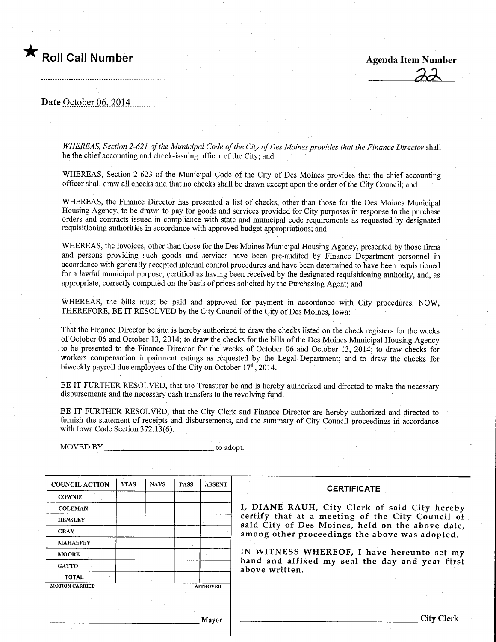

 $22$ 

Date October 06, 2014

WHEREAS, Section 2-621 of the Municipal Code of the City of Des Moines provides that the Finance Director shall be the chief accounting and check-issuing officer of the City; and

WHEREAS, Section 2-623 of the Municipal Code of the City of Des Moines provides that the chief accounting officer shall draw all checks and that no checks shall be drawn except upon the order of the City Council; and

WHEREAS, the Finance Director has presented a list of checks, other than those for the Des Momes Municipal Housing Agency, to be drawn to pay for goods and services provided for City purposes in response to the purchase orders and contracts issued in compliance with state and municipal code requirements as requested by designated requisitioning authorities in accordance with approved budget appropriations; and

WHEREAS, the invoices, other than those for the Des Moines Municipal Housing Agency, presented by those firms and persons providing such goods and services have been pre-audited by Finance Department personnel in accordance with generally accepted internal control procedures and have been determined to have been requisitioned for a lawful municipal purpose, certified as having been received by the designated requisitioning authority, and, as appropriate, correctly computed on the basis of prices solicited by the Purchasing Agent; and

WHEREAS, the bills must be paid and approved for payment in accordance with City procedures. NOW, THEREFORE, BE IT RESOLVED by the City Council of the City of Des Moines, Iowa:

That the Finance Director be and is hereby authorized to draw the checks listed on the check registers for the weeks of October 06 and October 13, 2014; to draw the checks for the bills of the Des Moines Municipal Housing Agency to be presented to the Finance Director for the weeks of October 06 and October 13, 2014; to draw checks for workers compensation impairment ratings as requested by the Legal Department; and to draw the checks for biweekly payroll due employees of the City on October 17th, 2014.

BE IT FURTHER RESOLVED, that the Treasurer be and is hereby authorized and directed to make the necessary disbursements and the necessary cash transfers to the revolving fund.

BE IT FURTHER RESOLVED, that the City Clerk and Finance Director are hereby authorized and directed to furnish the statement of receipts and disbursements, and the summary of City Council proceedmgs in accordance with Iowa Code Section 372.13(6).

COUNCIL ACTION **COWNIE COLEMAN HENSLEY** GRAY MAHAEFEY MOORE **GATTO** TOTAL YEAS MOTTON CARRIED NAYS | PASS A PROVED ABSENT

MOVED BY ^ to adopt.

**CERTIFICATE** 

1, DIANE RAUH, City Clerk of said City hereby certify that at a meeting of the City Council of said City of Des Moines, held on the above date, among other proceedings the above was adopted.

IN WITNESS WHEREOF, I have hereunto set my hand and affixed my seal the day and year first above written.

Mayor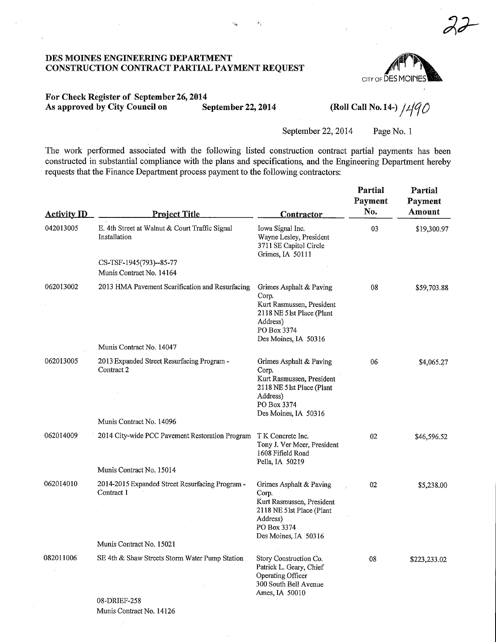

 $22$ 

# For Check Register of September 26,2014 As approved by City Council on September 22, 2014 (Roll Call No. 14-)  $/490$

÷.

September 22, 2014 Page No. 1

The work performed associated with the following listed construction contract partial payments has been constructed in substantial compliance with the plans and specifications, and the Engineering Department hereby requests that the Finance Department process payment to the following contractors:

| <b>Activity ID</b> | <b>Project Title</b>                                           | <u>Contractor</u>                                                                                                                              | Partial<br>Payment<br>No. | Partial<br>Payment<br>Amount |
|--------------------|----------------------------------------------------------------|------------------------------------------------------------------------------------------------------------------------------------------------|---------------------------|------------------------------|
| 042013005          | E. 4th Street at Walnut & Court Traffic Signal<br>Installation | Iowa Signal Inc.<br>Wayne Lesley, President<br>3711 SE Capitol Circle<br>Grimes, IA 50111                                                      | 03                        | \$19,300.97                  |
|                    | CS-TSF-1945(793)--85-77<br>Munis Contract No. 14164            |                                                                                                                                                |                           |                              |
| 062013002          | 2013 HMA Pavement Scarification and Resurfacing                | Grimes Asphalt & Paving<br>Corp.<br>Kurt Rasmussen, President<br>2118 NE 51st Place (Plant<br>Address)<br>PO Box 3374<br>Des Moines, IA 50316  | 08                        | \$59,703.88                  |
|                    | Munis Contract No. 14047                                       |                                                                                                                                                |                           |                              |
| 062013005          | 2013 Expanded Street Resurfacing Program -<br>Contract 2       | Grimes Asphalt & Paving<br>Corp.<br>Kurt Rasmussen, President<br>2118 NE 5 lst Place (Plant<br>Address)<br>PO Box 3374<br>Des Moines, IA 50316 | 06                        | \$4,065.27                   |
|                    | Munis Contract No. 14096                                       |                                                                                                                                                |                           |                              |
| 062014009          | 2014 City-wide PCC Pavement Restoration Program                | T K Concrete Inc.<br>Tony J. Ver Meer, President<br>1608 Fifield Road<br>Pella, IA 50219                                                       | 02                        | \$46,596.52                  |
|                    | Munis Contract No. 15014                                       |                                                                                                                                                |                           |                              |
| 062014010          | 2014-2015 Expanded Street Resurfacing Program -<br>Contract 1  | Grimes Asphalt & Paving<br>Corp.<br>Kurt Rasmussen, President<br>2118 NE 5 1st Place (Plant<br>Address)<br>PO Box 3374<br>Des Moines, IA 50316 | 02                        | \$5,238.00                   |
|                    | Munis Contract No. 15021                                       |                                                                                                                                                |                           |                              |
| 082011006          | SE 4th & Shaw Streets Storm Water Pump Station<br>08-DRIEF-258 | Story Construction Co.<br>Patrick L. Geary, Chief<br>Operating Officer<br>300 South Bell Avenue<br>Ames, IA 50010                              | 08                        | \$223,233.02                 |

Munis Contract No. 14126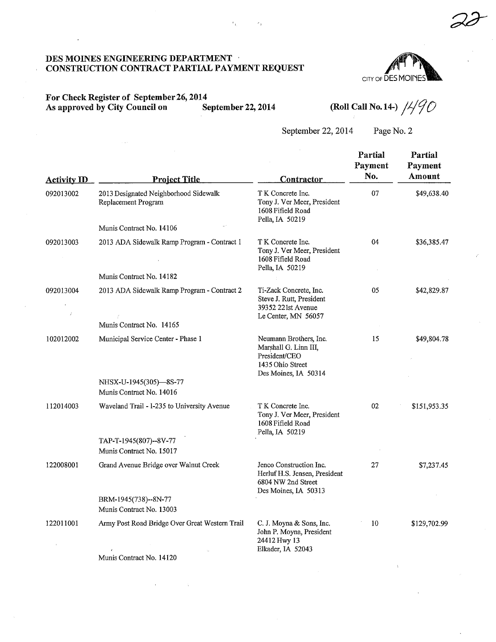

 $2\delta$ 

#### For Check Register of September 26, 2014<br>As approved by City Council on September 22, 2014 As approved by City Council on

(Roll Call No. 14-)  $/490$ 

# September 22, 2014 Page No. 2

| <b>Activity ID</b> | <b>Project Title</b>                                         | <b>Contractor</b>                                                                                            | Partial<br>Payment<br>No. | Partial<br>Payment<br>Amount |
|--------------------|--------------------------------------------------------------|--------------------------------------------------------------------------------------------------------------|---------------------------|------------------------------|
| 092013002          | 2013 Designated Neighborhood Sidewalk<br>Replacement Program | T K Concrete Inc.<br>Tony J. Ver Meer, President<br>1608 Fifield Road<br>Pella, IA 50219                     | 07                        | \$49,638.40                  |
|                    | Munis Contract No. 14106                                     |                                                                                                              |                           |                              |
| 092013003          | 2013 ADA Sidewalk Ramp Program - Contract 1                  | T K Concrete Inc.<br>Tony J. Ver Meer, President<br>1608 Fifield Road<br>Pella, IA 50219                     | 04                        | \$36,385.47                  |
|                    | Munis Contract No. 14182                                     |                                                                                                              |                           |                              |
| 092013004          | 2013 ADA Sidewalk Ramp Program - Contract 2                  | Ti-Zack Concrete, Inc.<br>Steve J. Rutt, President<br>39352 221st Avenue<br>Le Center, MN 56057              | 05                        | \$42,829.87                  |
|                    | Munis Contract No. 14165                                     |                                                                                                              |                           |                              |
| 102012002          | Municipal Service Center - Phase 1                           | Neumann Brothers, Inc.<br>Marshall G. Linn III.<br>President/CEO<br>1435 Ohio Street<br>Des Moines, IA 50314 | 15                        | \$49,804.78                  |
|                    | NHSX-U-1945(305)-8S-77<br>Munis Contract No. 14016           |                                                                                                              |                           |                              |
| 112014003          | Waveland Trail - 1-235 to University Avenue                  | T K Concrete Inc.<br>Tony J. Ver Meer, President<br>1608 Fifield Road<br>Pella, IA 50219                     | 02                        | \$151,953.35                 |
|                    | TAP-T-1945(807)--8V-77<br>Munis Contract No. 15017           |                                                                                                              |                           |                              |
| 122008001          | Grand Avenue Bridge over Walnut Creek                        | Jenco Construction Inc.<br>Herluf H.S. Jensen, President<br>6804 NW 2nd Street<br>Des Moines, IA 50313       | 27                        | \$7,237.45                   |
|                    | BRM-1945(738)--8N-77<br>Munis Contract No. 13003             |                                                                                                              |                           |                              |
| 122011001          | Army Post Road Bridge Over Great Western Trail               | C. J. Moyna & Sons, Inc.<br>John P. Moyna, President<br>24412 Hwy 13<br>Elkader, IA 52043                    | 10                        | \$129,702.99                 |
|                    | Munis Contract No. 14120                                     |                                                                                                              |                           |                              |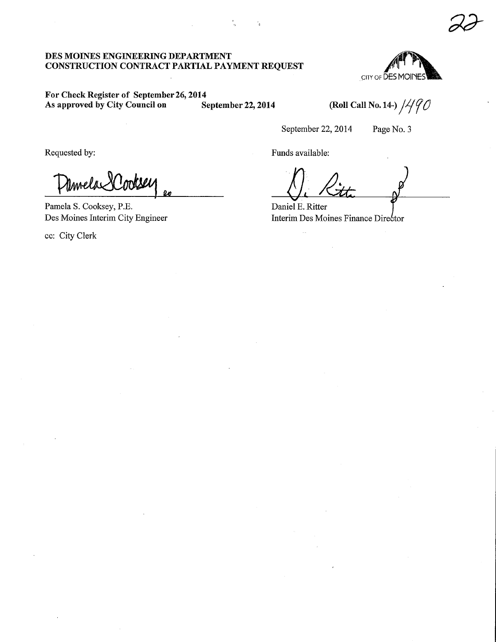CITY OF DES MOINE

 $22$ 

# For Check Register of September 26, 2014<br>As approved by City Council on September 22, 2014 As approved by City Council on September 22, 2014 (Roll Call No. 14-)  $/490$

September 22, 2014 Page No. 3

Requested by: Funds available:

Umela <sup>V</sup> Imble  $\boldsymbol{\omega}$ 

Pamela S. Cooksey, P.E. Des Moines Interim City Engineer

ec: City Clerk

 $n$  Ritte

Daniel E. Ritter Interim Des Moines Finance Director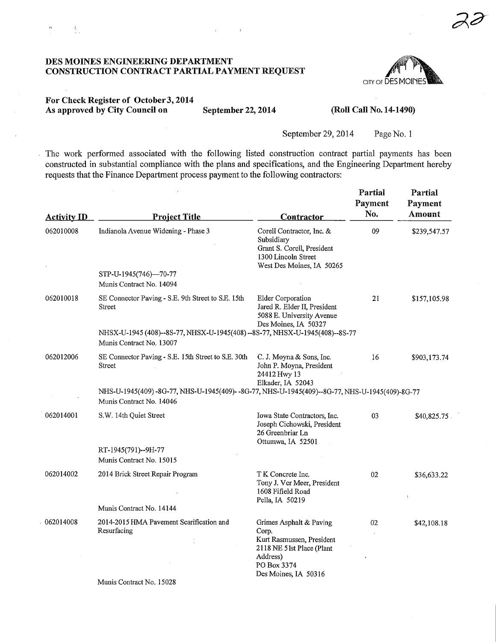

### For Check Register of October 3, 2014 As approved by City Council on September 22, 2014 (Roll Call No. 14-1490)

 $\mathbf{u}$ 

变。

 $\bar{\mathcal{L}}$ 

 $\mathbf{r}$ 

September 29, 2014 Page No. 1

The work performed associated with the following listed construction contract partial payments has been constructed in substantial compliance with the plans and specifications, and the Engineering Department hereby requests that the Finance Department process payment to the following contractors:

| <b>Activity ID</b> | <b>Project Title</b>                                                                                                     | <b>Contractor</b>                                                                                                                             | Partial<br>Payment<br>No. | Partial<br>Payment<br><b>Amount</b> |
|--------------------|--------------------------------------------------------------------------------------------------------------------------|-----------------------------------------------------------------------------------------------------------------------------------------------|---------------------------|-------------------------------------|
| 062010008          | Indianola Avenue Widening - Phase 3                                                                                      | Corell Contractor, Inc. &<br>Subsidiary<br>Grant S. Corell, President<br>1300 Lincoln Street<br>West Des Moines, IA 50265                     | 09                        | \$239,547.57                        |
|                    | STP-U-1945(746)-70-77                                                                                                    |                                                                                                                                               |                           |                                     |
|                    | Munis Contract No. 14094                                                                                                 |                                                                                                                                               |                           |                                     |
| 062010018          | SE Connector Paving - S.E. 9th Street to S.E. 15th<br><b>Street</b>                                                      | <b>Elder Corporation</b><br>Jared R. Elder II, President<br>5088 E. University Avenue<br>Des Moines, IA 50327                                 | 21                        | \$157,105.98                        |
|                    | NHSX-U-1945 (408)--8S-77, NHSX-U-1945 (408) --8S-77, NHSX-U-1945 (408)--8S-77<br>Munis Contract No. 13007                |                                                                                                                                               |                           |                                     |
| 062012006          | SE Connector Paving - S.E. 15th Street to S.E. 30th<br><b>Street</b>                                                     | C. J. Moyna & Sons, Inc.<br>John P. Moyna, President<br>24412 Hwy 13<br>Elkader, IA 52043                                                     | 16                        | \$903,173.74                        |
|                    | NHS-U-1945(409)-8G-77, NHS-U-1945(409)--8G-77, NHS-U-1945(409)--8G-77, NHS-U-1945(409)-8G-77<br>Munis Contract No. 14046 |                                                                                                                                               |                           |                                     |
| 062014001          | S.W. 14th Quiet Street                                                                                                   | Iowa State Contractors, Inc.<br>Joseph Cichowski, President<br>26 Greenbriar Ln<br>Ottumwa, IA 52501                                          | 03                        | \$40,825.75                         |
|                    | RT-1945(791)--9H-77                                                                                                      |                                                                                                                                               |                           |                                     |
|                    | Munis Contract No. 15015                                                                                                 |                                                                                                                                               |                           |                                     |
| 062014002          | 2014 Brick Street Repair Program                                                                                         | T K Concrete Inc.<br>Tony J. Ver Meer, President<br>1608 Fifield Road<br>Pella, IA 50219                                                      | 02                        | \$36,633.22                         |
|                    | Munis Contract No. 14144                                                                                                 |                                                                                                                                               |                           |                                     |
| 062014008          | 2014-2015 HMA Pavement Scarification and<br>Resurfacing<br>$M_{\text{total}}$ Contract $M_{\text{c}}$ 14000              | Grimes Asphalt & Paving<br>Corp.<br>Kurt Rasmussen, President<br>2118 NE 51st Place (Plant<br>Address)<br>PO Box 3374<br>Des Moines, IA 50316 | 02                        | \$42,108.18                         |

Munis Contract No. 15028